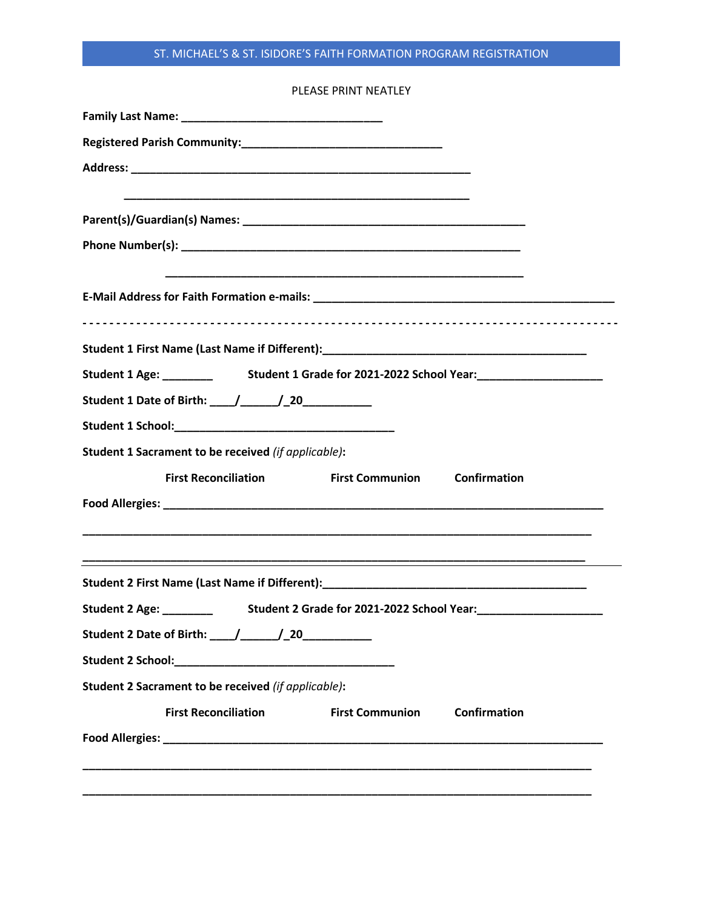## ST. MICHAEL'S & ST. ISIDORE'S FAITH FORMATION PROGRAM REGISTRATION

| PLEASE PRINT NEATLEY                                                                     |
|------------------------------------------------------------------------------------------|
|                                                                                          |
|                                                                                          |
|                                                                                          |
|                                                                                          |
|                                                                                          |
|                                                                                          |
|                                                                                          |
|                                                                                          |
|                                                                                          |
|                                                                                          |
|                                                                                          |
| Student 1 Date of Birth: ____/______/_20____________                                     |
|                                                                                          |
| Student 1 Sacrament to be received (if applicable):                                      |
| <b>First Communion Confirmation</b><br><b>First Reconciliation</b>                       |
|                                                                                          |
|                                                                                          |
|                                                                                          |
|                                                                                          |
| Student 2 Age: __________ Student 2 Grade for 2021-2022 School Year: ___________________ |
| Student 2 Date of Birth: ____/______/_20____________                                     |
|                                                                                          |
| Student 2 Sacrament to be received (if applicable):                                      |
| <b>First Reconciliation</b><br><b>First Communion</b><br>Confirmation                    |
|                                                                                          |
|                                                                                          |
|                                                                                          |